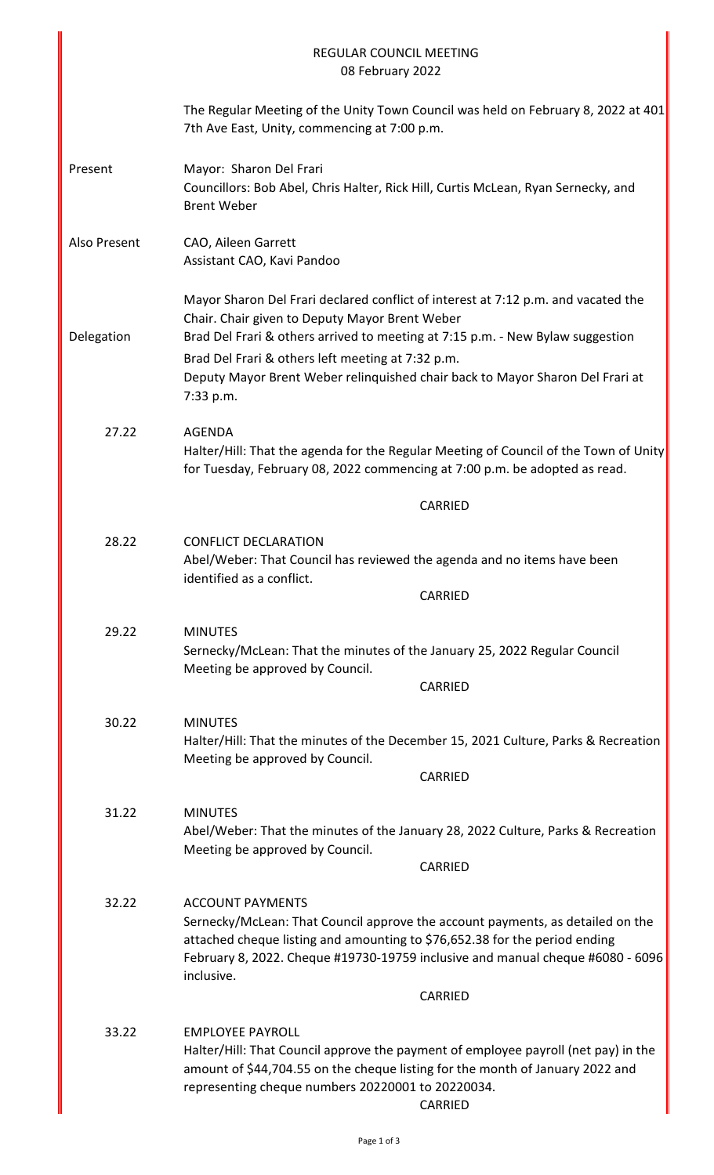| <b>REGULAR COUNCIL MEETING</b><br>08 February 2022 |                                                                                                                                                                                                                                                                                                                                                                          |  |
|----------------------------------------------------|--------------------------------------------------------------------------------------------------------------------------------------------------------------------------------------------------------------------------------------------------------------------------------------------------------------------------------------------------------------------------|--|
|                                                    | The Regular Meeting of the Unity Town Council was held on February 8, 2022 at 401<br>7th Ave East, Unity, commencing at 7:00 p.m.                                                                                                                                                                                                                                        |  |
| Present                                            | Mayor: Sharon Del Frari<br>Councillors: Bob Abel, Chris Halter, Rick Hill, Curtis McLean, Ryan Sernecky, and<br><b>Brent Weber</b>                                                                                                                                                                                                                                       |  |
| Also Present                                       | CAO, Aileen Garrett<br>Assistant CAO, Kavi Pandoo                                                                                                                                                                                                                                                                                                                        |  |
| Delegation                                         | Mayor Sharon Del Frari declared conflict of interest at 7:12 p.m. and vacated the<br>Chair. Chair given to Deputy Mayor Brent Weber<br>Brad Del Frari & others arrived to meeting at 7:15 p.m. - New Bylaw suggestion<br>Brad Del Frari & others left meeting at 7:32 p.m.<br>Deputy Mayor Brent Weber relinquished chair back to Mayor Sharon Del Frari at<br>7:33 p.m. |  |
| 27.22                                              | <b>AGENDA</b><br>Halter/Hill: That the agenda for the Regular Meeting of Council of the Town of Unity<br>for Tuesday, February 08, 2022 commencing at 7:00 p.m. be adopted as read.                                                                                                                                                                                      |  |
|                                                    | <b>CARRIED</b>                                                                                                                                                                                                                                                                                                                                                           |  |
| 28.22                                              | <b>CONFLICT DECLARATION</b><br>Abel/Weber: That Council has reviewed the agenda and no items have been<br>identified as a conflict.<br><b>CARRIED</b>                                                                                                                                                                                                                    |  |
| 29.22                                              | <b>MINUTES</b><br>Sernecky/McLean: That the minutes of the January 25, 2022 Regular Council<br>Meeting be approved by Council.<br>CARRIED                                                                                                                                                                                                                                |  |
| 30.22                                              | <b>MINUTES</b><br>Halter/Hill: That the minutes of the December 15, 2021 Culture, Parks & Recreation<br>Meeting be approved by Council.<br><b>CARRIED</b>                                                                                                                                                                                                                |  |
| 31.22                                              | <b>MINUTES</b><br>Abel/Weber: That the minutes of the January 28, 2022 Culture, Parks & Recreation<br>Meeting be approved by Council.<br>CARRIED                                                                                                                                                                                                                         |  |
| 32.22                                              | <b>ACCOUNT PAYMENTS</b><br>Sernecky/McLean: That Council approve the account payments, as detailed on the<br>attached cheque listing and amounting to \$76,652.38 for the period ending<br>February 8, 2022. Cheque #19730-19759 inclusive and manual cheque #6080 - 6096<br>inclusive.                                                                                  |  |
|                                                    | CARRIED                                                                                                                                                                                                                                                                                                                                                                  |  |
| 33.22                                              | <b>EMPLOYEE PAYROLL</b><br>Halter/Hill: That Council approve the payment of employee payroll (net pay) in the<br>amount of \$44,704.55 on the cheque listing for the month of January 2022 and<br>representing cheque numbers 20220001 to 20220034.<br><b>CARRIED</b>                                                                                                    |  |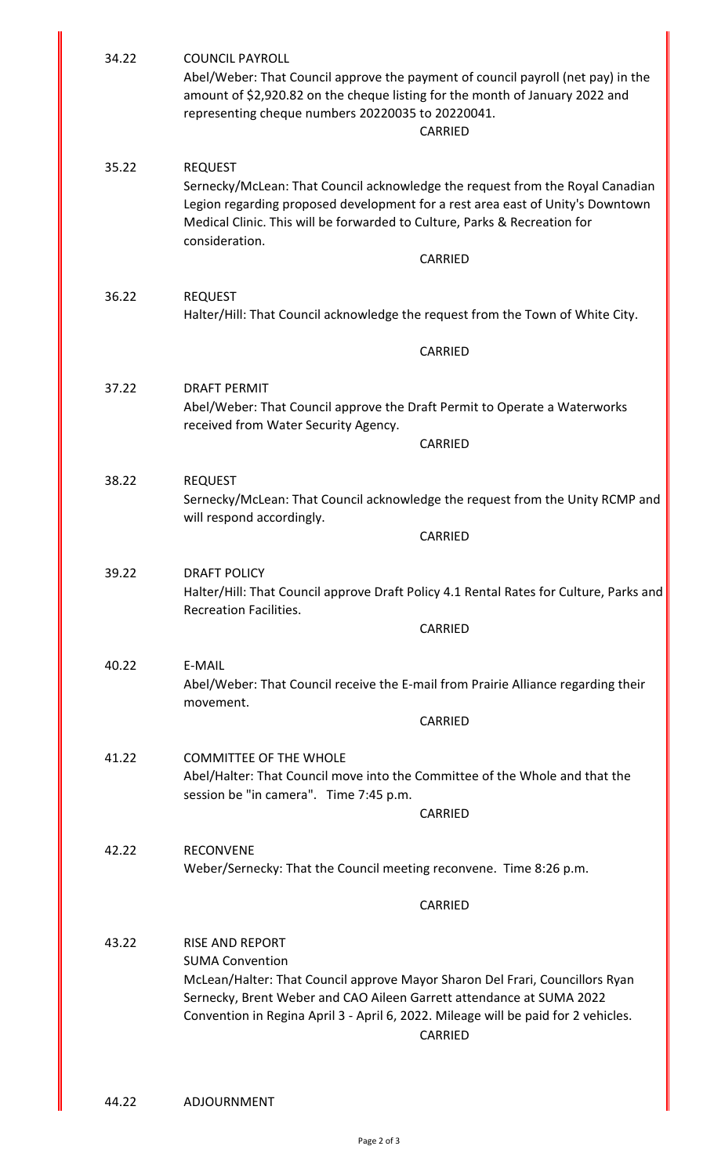| 34.22                                                                                                     | <b>COUNCIL PAYROLL</b><br>Abel/Weber: That Council approve the payment of council payroll (net pay) in the<br>amount of \$2,920.82 on the cheque listing for the month of January 2022 and<br>representing cheque numbers 20220035 to 20220041.<br>CARRIED                                     |                                                                                                                                                                 |  |
|-----------------------------------------------------------------------------------------------------------|------------------------------------------------------------------------------------------------------------------------------------------------------------------------------------------------------------------------------------------------------------------------------------------------|-----------------------------------------------------------------------------------------------------------------------------------------------------------------|--|
| 35.22                                                                                                     | <b>REQUEST</b><br>Medical Clinic. This will be forwarded to Culture, Parks & Recreation for<br>consideration.                                                                                                                                                                                  | Sernecky/McLean: That Council acknowledge the request from the Royal Canadian<br>Legion regarding proposed development for a rest area east of Unity's Downtown |  |
|                                                                                                           |                                                                                                                                                                                                                                                                                                | <b>CARRIED</b>                                                                                                                                                  |  |
| 36.22<br><b>REQUEST</b><br>Halter/Hill: That Council acknowledge the request from the Town of White City. |                                                                                                                                                                                                                                                                                                |                                                                                                                                                                 |  |
|                                                                                                           |                                                                                                                                                                                                                                                                                                | <b>CARRIED</b>                                                                                                                                                  |  |
| 37.22                                                                                                     | <b>DRAFT PERMIT</b>                                                                                                                                                                                                                                                                            |                                                                                                                                                                 |  |
|                                                                                                           | Abel/Weber: That Council approve the Draft Permit to Operate a Waterworks<br>received from Water Security Agency.                                                                                                                                                                              |                                                                                                                                                                 |  |
|                                                                                                           |                                                                                                                                                                                                                                                                                                | <b>CARRIED</b>                                                                                                                                                  |  |
| 38.22                                                                                                     | <b>REQUEST</b><br>Sernecky/McLean: That Council acknowledge the request from the Unity RCMP and<br>will respond accordingly.                                                                                                                                                                   |                                                                                                                                                                 |  |
|                                                                                                           |                                                                                                                                                                                                                                                                                                | CARRIED                                                                                                                                                         |  |
| 39.22                                                                                                     | <b>DRAFT POLICY</b><br>Halter/Hill: That Council approve Draft Policy 4.1 Rental Rates for Culture, Parks and<br><b>Recreation Facilities.</b>                                                                                                                                                 |                                                                                                                                                                 |  |
|                                                                                                           |                                                                                                                                                                                                                                                                                                | CARRIED                                                                                                                                                         |  |
| 40.22                                                                                                     | E-MAIL<br>Abel/Weber: That Council receive the E-mail from Prairie Alliance regarding their<br>movement.                                                                                                                                                                                       |                                                                                                                                                                 |  |
|                                                                                                           |                                                                                                                                                                                                                                                                                                | CARRIED                                                                                                                                                         |  |
| 41.22                                                                                                     | <b>COMMITTEE OF THE WHOLE</b><br>Abel/Halter: That Council move into the Committee of the Whole and that the<br>session be "in camera". Time 7:45 p.m.                                                                                                                                         |                                                                                                                                                                 |  |
|                                                                                                           |                                                                                                                                                                                                                                                                                                | <b>CARRIED</b>                                                                                                                                                  |  |
| 42.22                                                                                                     | <b>RECONVENE</b><br>Weber/Sernecky: That the Council meeting reconvene. Time 8:26 p.m.                                                                                                                                                                                                         |                                                                                                                                                                 |  |
|                                                                                                           |                                                                                                                                                                                                                                                                                                | CARRIED                                                                                                                                                         |  |
| 43.22                                                                                                     | <b>RISE AND REPORT</b><br><b>SUMA Convention</b><br>McLean/Halter: That Council approve Mayor Sharon Del Frari, Councillors Ryan<br>Sernecky, Brent Weber and CAO Aileen Garrett attendance at SUMA 2022<br>Convention in Regina April 3 - April 6, 2022. Mileage will be paid for 2 vehicles. | CARRIED                                                                                                                                                         |  |